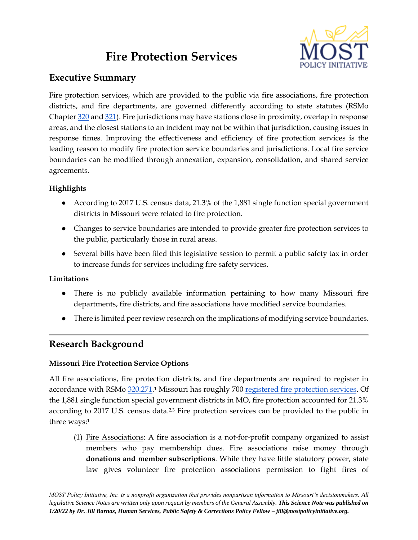# **Fire Protection Services**



# **Executive Summary**

Fire protection services, which are provided to the public via fire associations, fire protection districts, and fire departments, are governed differently according to state statutes (RSMo Chapter [320](https://revisor.mo.gov/main/OneChapter.aspx?chapter=320) and [321\)](https://www.revisor.mo.gov/main/OneChapter.aspx?chapter=321). Fire jurisdictions may have stations close in proximity, overlap in response areas, and the closest stations to an incident may not be within that jurisdiction, causing issues in response times. Improving the effectiveness and efficiency of fire protection services is the leading reason to modify fire protection service boundaries and jurisdictions. Local fire service boundaries can be modified through annexation, expansion, consolidation, and shared service agreements.

## **Highlights**

- According to 2017 U.S. census data, 21.3% of the 1,881 single function special government districts in Missouri were related to fire protection.
- Changes to service boundaries are intended to provide greater fire protection services to the public, particularly those in rural areas.
- Several bills have been filed this legislative session to permit a public safety tax in order to increase funds for services including fire safety services.

### **Limitations**

- There is no publicly available information pertaining to how many Missouri fire departments, fire districts, and fire associations have modified service boundaries.
- There is limited peer review research on the implications of modifying service boundaries.

## **Research Background**

### **Missouri Fire Protection Service Options**

All fire associations, fire protection districts, and fire departments are required to register in accordance with RSMo [320.271.](http://www.moga.mo.gov/mostatutes/stathtml/32000002711.html)1 Missouri has roughly 700 <u>registered fire protection services</u>. Of the 1,881 single function special government districts in MO, fire protection accounted for 21.3% according to 2017 U.S. census data.<sup>2,3</sup> Fire protection services can be provided to the public in three ways:<sup>1</sup>

(1) Fire Associations: A fire association is a not-for-profit company organized to assist members who pay membership dues. Fire associations raise money through **donations and member subscriptions**. While they have little statutory power, state law gives volunteer fire protection associations permission to fight fires of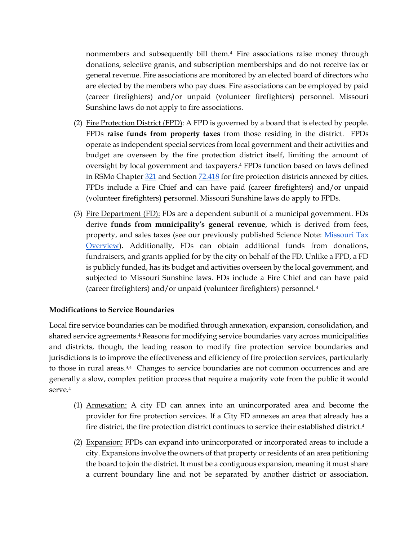nonmembers and subsequently bill them.<sup>4</sup> Fire associations raise money through donations, selective grants, and subscription memberships and do not receive tax or general revenue. Fire associations are monitored by an elected board of directors who are elected by the members who pay dues. Fire associations can be employed by paid (career firefighters) and/or unpaid (volunteer firefighters) personnel. Missouri Sunshine laws do not apply to fire associations.

- (2) Fire Protection District (FPD): A FPD is governed by a board that is elected by people. FPDs **raise funds from property taxes** from those residing in the district. FPDs operate as independent special services from local government and their activities and budget are overseen by the fire protection district itself, limiting the amount of oversight by local government and taxpayers. <sup>4</sup> FPDs function based on laws defined in RSMo Chapte[r 321](https://www.revisor.mo.gov/main/OneChapter.aspx?chapter=321) and Section [72.418](https://revisor.mo.gov/main/OneSection.aspx?bid=3582&hl=§ion=72.418) for fire protection districts annexed by cities. FPDs include a Fire Chief and can have paid (career firefighters) and/or unpaid (volunteer firefighters) personnel. Missouri Sunshine laws do apply to FPDs.
- (3) Fire Department (FD): FDs are a dependent subunit of a municipal government. FDs derive **funds from municipality's general revenue**, which is derived from fees, property, and sales taxes (see our previously published Science Note: [Missouri Tax](https://mostpolicyinitiative.org/science-note/missouri-tax-overview/)  [Overview\)](https://mostpolicyinitiative.org/science-note/missouri-tax-overview/). Additionally, FDs can obtain additional funds from donations, fundraisers, and grants applied for by the city on behalf of the FD. Unlike a FPD, a FD is publicly funded, has its budget and activities overseen by the local government, and subjected to Missouri Sunshine laws. FDs include a Fire Chief and can have paid (career firefighters) and/or unpaid (volunteer firefighters) personnel.<sup>4</sup>

### **Modifications to Service Boundaries**

Local fire service boundaries can be modified through annexation, expansion, consolidation, and shared service agreements.<sup>4</sup> Reasons for modifying service boundaries vary across municipalities and districts, though, the leading reason to modify fire protection service boundaries and jurisdictions is to improve the effectiveness and efficiency of fire protection services, particularly to those in rural areas.<sup>3,4</sup> Changes to service boundaries are not common occurrences and are generally a slow, complex petition process that require a majority vote from the public it would serve.<sup>4</sup>

- (1) Annexation: A city FD can annex into an unincorporated area and become the provider for fire protection services. If a City FD annexes an area that already has a fire district, the fire protection district continues to service their established district.<sup>4</sup>
- (2) Expansion: FPDs can expand into unincorporated or incorporated areas to include a city. Expansions involve the owners of that property or residents of an area petitioning the board to join the district. It must be a contiguous expansion, meaning it must share a current boundary line and not be separated by another district or association.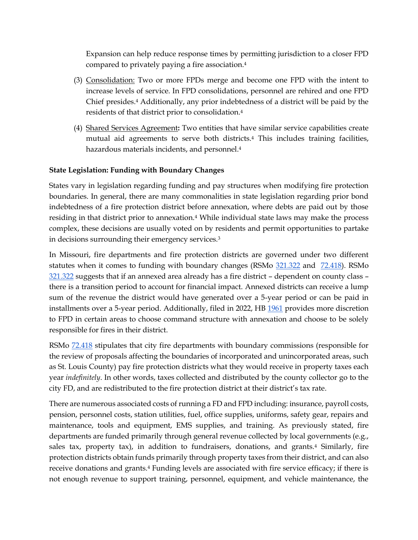Expansion can help reduce response times by permitting jurisdiction to a closer FPD compared to privately paying a fire association.<sup>4</sup>

- (3) Consolidation: Two or more FPDs merge and become one FPD with the intent to increase levels of service. In FPD consolidations, personnel are rehired and one FPD Chief presides.<sup>4</sup> Additionally, any prior indebtedness of a district will be paid by the residents of that district prior to consolidation.<sup>4</sup>
- (4) Shared Services Agreement**:** Two entities that have similar service capabilities create mutual aid agreements to serve both districts.<sup>4</sup> This includes training facilities, hazardous materials incidents, and personnel.<sup>4</sup>

## **State Legislation: Funding with Boundary Changes**

States vary in legislation regarding funding and pay structures when modifying fire protection boundaries. In general, there are many commonalities in state legislation regarding prior bond indebtedness of a fire protection district before annexation, where debts are paid out by those residing in that district prior to annexation.<sup>4</sup> While individual state laws may make the process complex, these decisions are usually voted on by residents and permit opportunities to partake in decisions surrounding their emergency services.<sup>3</sup>

In Missouri, fire departments and fire protection districts are governed under two different statutes when it comes to funding with boundary changes (RSMo  $321.322$  and  $72.418$ ). RSMo [321.322](https://www.revisor.mo.gov/main/OneSection.aspx?section=321.322&bid=36198&hl=) suggests that if an annexed area already has a fire district – dependent on county class – there is a transition period to account for financial impact. Annexed districts can receive a lump sum of the revenue the district would have generated over a 5-year period or can be paid in installments over a 5-year period. Additionally, filed in 2022, HB [1961](https://house.mo.gov/bill.aspx?bill=HB1961&year=2022&code=R) provides more discretion to FPD in certain areas to choose command structure with annexation and choose to be solely responsible for fires in their district.

RSMo [72.418](https://revisor.mo.gov/main/OneSection.aspx?bid=3582&hl=§ion=72.418) stipulates that city fire departments with boundary commissions (responsible for the review of proposals affecting the boundaries of incorporated and unincorporated areas, such as St. Louis County) pay fire protection districts what they would receive in property taxes each year *indefinitely*. In other words, taxes collected and distributed by the county collector go to the city FD, and are redistributed to the fire protection district at their district's tax rate.

There are numerous associated costs of running a FD and FPD including: insurance, payroll costs, pension, personnel costs, station utilities, fuel, office supplies, uniforms, safety gear, repairs and maintenance, tools and equipment, EMS supplies, and training. As previously stated, fire departments are funded primarily through general revenue collected by local governments (e.g., sales tax, property tax), in addition to fundraisers, donations, and grants.<sup>4</sup> Similarly, fire protection districts obtain funds primarily through property taxes from their district, and can also receive donations and grants.<sup>4</sup> Funding levels are associated with fire service efficacy; if there is not enough revenue to support training, personnel, equipment, and vehicle maintenance, the